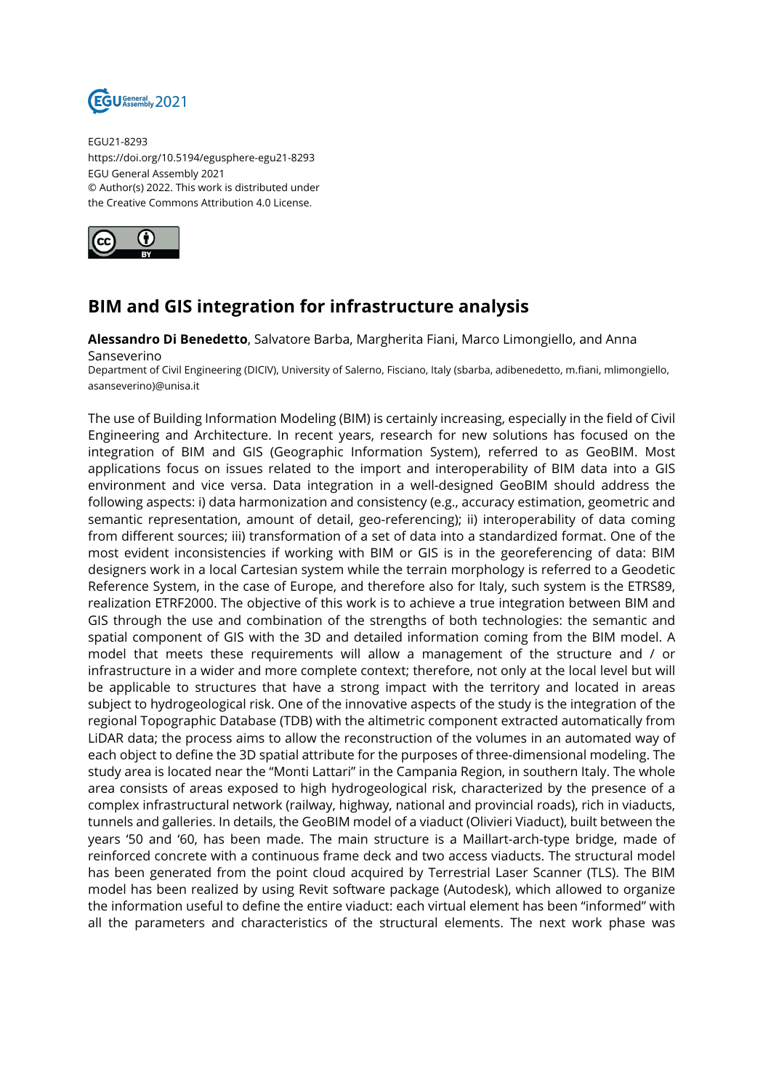

EGU21-8293 https://doi.org/10.5194/egusphere-egu21-8293 EGU General Assembly 2021 © Author(s) 2022. This work is distributed under the Creative Commons Attribution 4.0 License.



## **BIM and GIS integration for infrastructure analysis**

**Alessandro Di Benedetto**, Salvatore Barba, Margherita Fiani, Marco Limongiello, and Anna Sanseverino

Department of Civil Engineering (DICIV), University of Salerno, Fisciano, Italy (sbarba, adibenedetto, m.fiani, mlimongiello, asanseverino)@unisa.it

The use of Building Information Modeling (BIM) is certainly increasing, especially in the field of Civil Engineering and Architecture. In recent years, research for new solutions has focused on the integration of BIM and GIS (Geographic Information System), referred to as GeoBIM. Most applications focus on issues related to the import and interoperability of BIM data into a GIS environment and vice versa. Data integration in a well-designed GeoBIM should address the following aspects: i) data harmonization and consistency (e.g., accuracy estimation, geometric and semantic representation, amount of detail, geo-referencing); ii) interoperability of data coming from different sources; iii) transformation of a set of data into a standardized format. One of the most evident inconsistencies if working with BIM or GIS is in the georeferencing of data: BIM designers work in a local Cartesian system while the terrain morphology is referred to a Geodetic Reference System, in the case of Europe, and therefore also for Italy, such system is the ETRS89, realization ETRF2000. The objective of this work is to achieve a true integration between BIM and GIS through the use and combination of the strengths of both technologies: the semantic and spatial component of GIS with the 3D and detailed information coming from the BIM model. A model that meets these requirements will allow a management of the structure and / or infrastructure in a wider and more complete context; therefore, not only at the local level but will be applicable to structures that have a strong impact with the territory and located in areas subject to hydrogeological risk. One of the innovative aspects of the study is the integration of the regional Topographic Database (TDB) with the altimetric component extracted automatically from LiDAR data; the process aims to allow the reconstruction of the volumes in an automated way of each object to define the 3D spatial attribute for the purposes of three-dimensional modeling. The study area is located near the "Monti Lattari" in the Campania Region, in southern Italy. The whole area consists of areas exposed to high hydrogeological risk, characterized by the presence of a complex infrastructural network (railway, highway, national and provincial roads), rich in viaducts, tunnels and galleries. In details, the GeoBIM model of a viaduct (Olivieri Viaduct), built between the years '50 and '60, has been made. The main structure is a Maillart-arch-type bridge, made of reinforced concrete with a continuous frame deck and two access viaducts. The structural model has been generated from the point cloud acquired by Terrestrial Laser Scanner (TLS). The BIM model has been realized by using Revit software package (Autodesk), which allowed to organize the information useful to define the entire viaduct: each virtual element has been "informed" with all the parameters and characteristics of the structural elements. The next work phase was